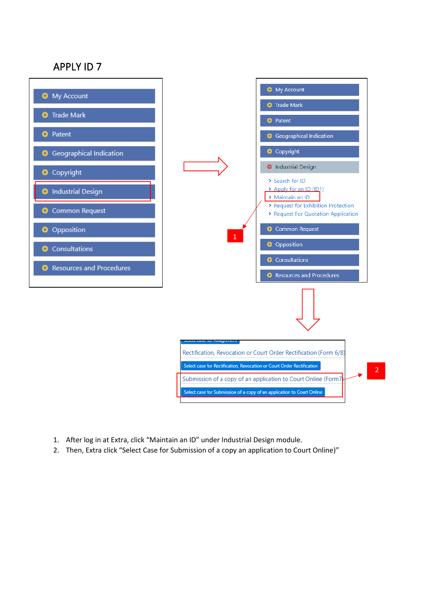## APPLY ID 7



- 1. After log in at Extra, click "Maintain an ID" under Industrial Design module.
- 2. Then, Extra click "Select Case for Submission of a copy an application to Court Online)"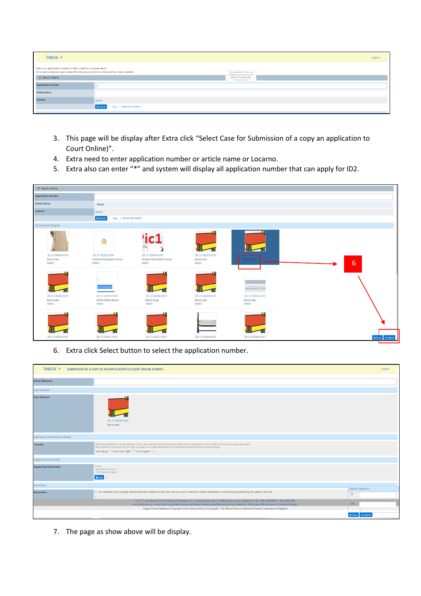| INBOX                                                                                                                                                          |                                    |                                                               |  |  |
|----------------------------------------------------------------------------------------------------------------------------------------------------------------|------------------------------------|---------------------------------------------------------------|--|--|
| Enter your application number or title to perform a simple search<br>For a more advanced search select the link below and more criteria will be made available |                                    | Enter application number e.g.<br>169088, you can use comma to |  |  |
| Search Criteria                                                                                                                                                |                                    | search for multiple cases<br>1500 characters max.             |  |  |
| <b>Application Number</b>                                                                                                                                      |                                    |                                                               |  |  |
| <b>Article Name</b>                                                                                                                                            |                                    |                                                               |  |  |
| Locarno                                                                                                                                                        | Search                             |                                                               |  |  |
|                                                                                                                                                                | Q Search - Clear   Advanced Search |                                                               |  |  |

- 3. This page will be display after Extra click "Select Case for Submission of a copy an application to Court Online)".
- 4. Extra need to enter application number or article name or Locarno.
- 5. Extra also can enter "\*" and system will display all application number that can apply for ID2.

| Search Criteria                 |                                             |                                             |                              |                                |                                |
|---------------------------------|---------------------------------------------|---------------------------------------------|------------------------------|--------------------------------|--------------------------------|
| <b>Application Number</b>       |                                             |                                             |                              |                                |                                |
| <b>Article Name</b>             | kerusi                                      |                                             |                              |                                |                                |
| Locarno                         | Search                                      |                                             |                              |                                |                                |
|                                 | Q Search<br>Clear   Advanced Search         |                                             |                              |                                |                                |
| 24 Industrial Design(s)         |                                             |                                             |                              |                                |                                |
|                                 | $\bigcirc$                                  | 'ic1<br>≂                                   |                              |                                |                                |
| 21-00424-0101<br>kerusi satu    | 21-E0202-0101<br>Product Description Kerusi | 21-E0206-0101<br>Product Description Kerusi | 21-E0252-0101<br>kerusi satu | kerusi satu                    |                                |
| Select                          | Select                                      | Select                                      | Select                       |                                | $6\phantom{1}$                 |
|                                 | <b>In Protection</b>                        |                                             |                              | query generated - 21-E020      |                                |
| 28 21-E0263-0101<br>kerusi satu | 21-E0276-0101<br>Article Name Kerusi        | 28 21-E0306-0101<br>kerusi duaa             | 21-E0326-0101<br>kerusi satu | 2 21-E0328-0101<br>kerusi satu |                                |
| Select                          | Select                                      | Select                                      | Select                       | Select                         |                                |
|                                 |                                             |                                             |                              |                                |                                |
| 21-E0330-0101                   | 231-E0331-0101                              | 21-E0332-0101                               | 21-E0344-0101                | <b>B</b> 21-E0364-0101         | $\star$ Clase $\bullet$ Select |
|                                 |                                             |                                             |                              |                                |                                |

6. Extra click Select button to select the application number.

| <b>INBOX &gt; SUBMISSION OF A COPY OF AN APPLICATION TO COURT ONLINE (FORM7)</b><br>Logout |                                                                                                                                                                                                                                                                                                                                                                                                            |                               |  |  |  |
|--------------------------------------------------------------------------------------------|------------------------------------------------------------------------------------------------------------------------------------------------------------------------------------------------------------------------------------------------------------------------------------------------------------------------------------------------------------------------------------------------------------|-------------------------------|--|--|--|
| <b>Client Reference</b>                                                                    |                                                                                                                                                                                                                                                                                                                                                                                                            |                               |  |  |  |
| Case Selected                                                                              |                                                                                                                                                                                                                                                                                                                                                                                                            |                               |  |  |  |
| <b>Case Selected</b>                                                                       | 21-E0254-0101<br>kerusi satu                                                                                                                                                                                                                                                                                                                                                                               |                               |  |  |  |
| <b>Applicant's Information &amp; Details</b>                                               |                                                                                                                                                                                                                                                                                                                                                                                                            |                               |  |  |  |
| Identity                                                                                   | Identify who the applicant is for this application. If you or your organisation are the applicant then select that you are applying in your own right, if not then you are acting as an agent.<br>Select whether you're acting for your own right, as an agent or as a legal representative, where appropriate addresses will be populated accordingly.<br>I am acting : O In my own right O As an Agent . |                               |  |  |  |
| <b>Supporting Documents</b>                                                                |                                                                                                                                                                                                                                                                                                                                                                                                            |                               |  |  |  |
| <b>Supporting Documents</b>                                                                | Provide:<br>Application to the Court<br>- ID10 (if applied by agent)<br>O Add                                                                                                                                                                                                                                                                                                                              |                               |  |  |  |
| Declaration                                                                                |                                                                                                                                                                                                                                                                                                                                                                                                            | Digicert Signature            |  |  |  |
| <b>Declaration</b>                                                                         | □ I do solemnly and sincerely declare that the contents of this form are true and i make this solemn declaration conscientiously believing the same to be true.<br>ò.                                                                                                                                                                                                                                      | $\mathsf{ID}$                 |  |  |  |
|                                                                                            | Unit 1-7, Aras Bawah, Tower B, Menara UOA Bangsar, No. 5, Jalan Bangsar Utama 1, 59000 Kuala Lumpur. Telephone / Fax: +603-2299 8400 / +603-2299 8989<br>www.myipo.gov.my . e-mail: pttechsupport@myipo.gov.my (Patent), tmtechsupport@myipo.gov.my (Trademark), idtechsupport@myipo.gov.my (Industrial Design).                                                                                           | PIN                           |  |  |  |
|                                                                                            | Usage   Privacy Statement   Copyright Notice   Security Policy @ Copyright - The Official Portal of Intellectual Property Corporation of Malaysia                                                                                                                                                                                                                                                          |                               |  |  |  |
|                                                                                            |                                                                                                                                                                                                                                                                                                                                                                                                            | <mark>≭ Close</mark> → Submit |  |  |  |

7. The page as show above will be display.